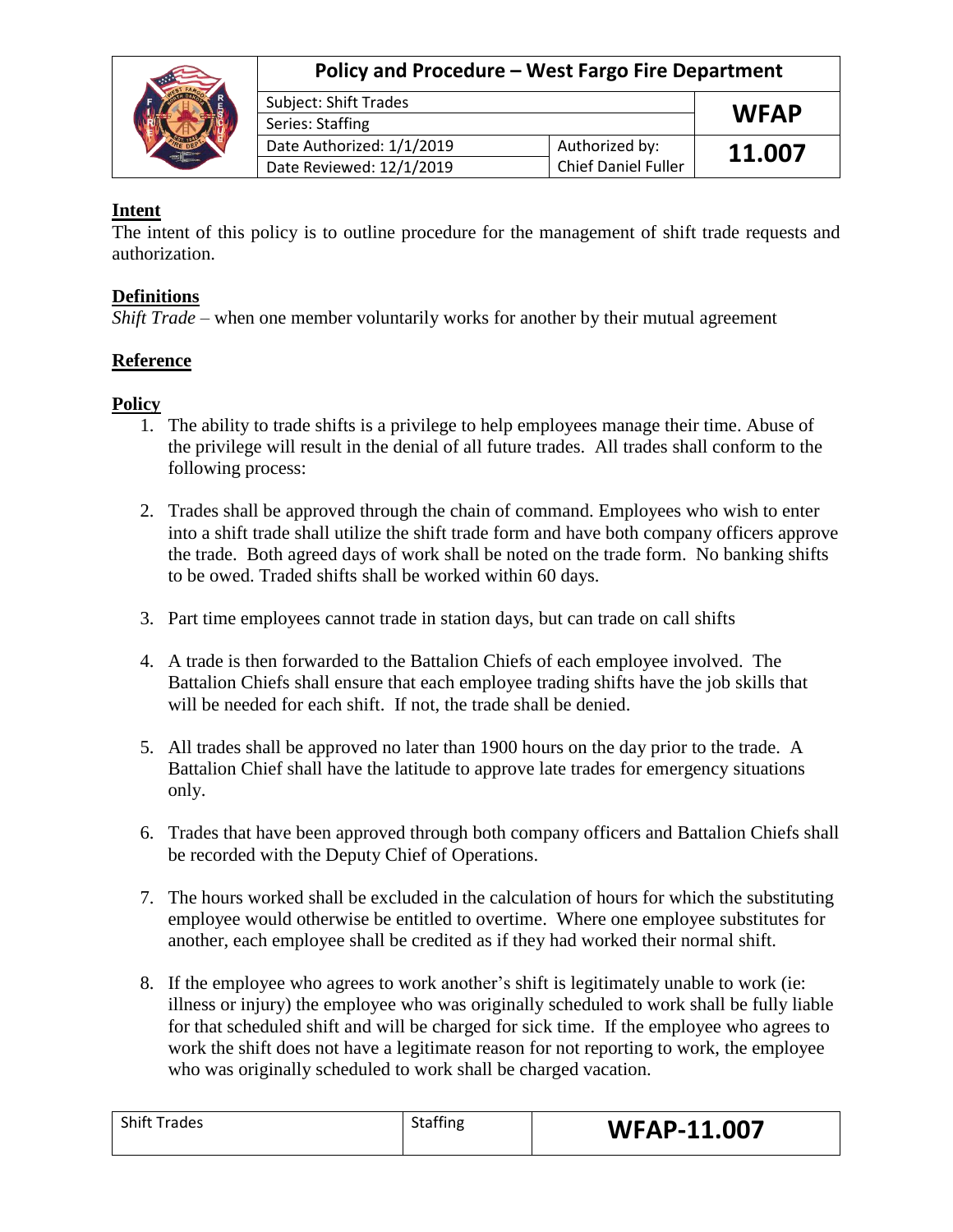|  | Policy and Procedure - West Fargo Fire Department |                     |             |
|--|---------------------------------------------------|---------------------|-------------|
|  | <b>Subject: Shift Trades</b>                      |                     | <b>WFAP</b> |
|  | Series: Staffing                                  |                     |             |
|  | Date Authorized: 1/1/2019                         | Authorized by:      | 11.007      |
|  | Date Reviewed: 12/1/2019                          | Chief Daniel Fuller |             |

## **Intent**

The intent of this policy is to outline procedure for the management of shift trade requests and authorization.

## **Definitions**

*Shift Trade* – when one member voluntarily works for another by their mutual agreement

## **Reference**

## **Policy**

- 1. The ability to trade shifts is a privilege to help employees manage their time. Abuse of the privilege will result in the denial of all future trades. All trades shall conform to the following process:
- 2. Trades shall be approved through the chain of command. Employees who wish to enter into a shift trade shall utilize the shift trade form and have both company officers approve the trade. Both agreed days of work shall be noted on the trade form. No banking shifts to be owed. Traded shifts shall be worked within 60 days.
- 3. Part time employees cannot trade in station days, but can trade on call shifts
- 4. A trade is then forwarded to the Battalion Chiefs of each employee involved. The Battalion Chiefs shall ensure that each employee trading shifts have the job skills that will be needed for each shift. If not, the trade shall be denied.
- 5. All trades shall be approved no later than 1900 hours on the day prior to the trade. A Battalion Chief shall have the latitude to approve late trades for emergency situations only.
- 6. Trades that have been approved through both company officers and Battalion Chiefs shall be recorded with the Deputy Chief of Operations.
- 7. The hours worked shall be excluded in the calculation of hours for which the substituting employee would otherwise be entitled to overtime. Where one employee substitutes for another, each employee shall be credited as if they had worked their normal shift.
- 8. If the employee who agrees to work another's shift is legitimately unable to work (ie: illness or injury) the employee who was originally scheduled to work shall be fully liable for that scheduled shift and will be charged for sick time. If the employee who agrees to work the shift does not have a legitimate reason for not reporting to work, the employee who was originally scheduled to work shall be charged vacation.

| <b>Shift Trades</b> | <b>Staffing</b> | <b>WFAP-11.007</b> |
|---------------------|-----------------|--------------------|
|                     |                 |                    |